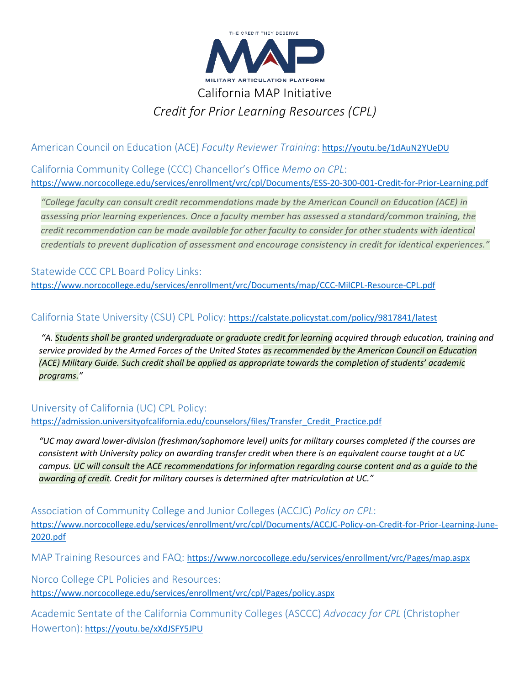

*Credit for Prior Learning Resources (CPL)*

American Council on Education (ACE) *Faculty Reviewer Training*: <https://youtu.be/1dAuN2YUeDU>

California Community College (CCC) Chancellor's Office *Memo on CPL*: <https://www.norcocollege.edu/services/enrollment/vrc/cpl/Documents/ESS-20-300-001-Credit-for-Prior-Learning.pdf>

*"College faculty can consult credit recommendations made by the American Council on Education (ACE) in assessing prior learning experiences. Once a faculty member has assessed a standard/common training, the credit recommendation can be made available for other faculty to consider for other students with identical credentials to prevent duplication of assessment and encourage consistency in credit for identical experiences."*

Statewide CCC CPL Board Policy Links: <https://www.norcocollege.edu/services/enrollment/vrc/Documents/map/CCC-MilCPL-Resource-CPL.pdf>

# California State University (CSU) CPL Policy: <https://calstate.policystat.com/policy/9817841/latest>

*"A. Students shall be granted undergraduate or graduate credit for learning acquired through education, training and service provided by the Armed Forces of the United States as recommended by the American Council on Education (ACE) Military Guide. Such credit shall be applied as appropriate towards the completion of students' academic programs."* 

# University of California (UC) CPL Policy:

[https://admission.universityofcalifornia.edu/counselors/files/Transfer\\_Credit\\_Practice.pdf](https://admission.universityofcalifornia.edu/counselors/files/Transfer_Credit_Practice.pdf)

*"UC may award lower-division (freshman/sophomore level) units for military courses completed if the courses are consistent with University policy on awarding transfer credit when there is an equivalent course taught at a UC campus. UC will consult the ACE recommendations for information regarding course content and as a guide to the awarding of credit. Credit for military courses is determined after matriculation at UC."*

Association of Community College and Junior Colleges (ACCJC) *Policy on CPL*: [https://www.norcocollege.edu/services/enrollment/vrc/cpl/Documents/ACCJC-Policy-on-Credit-for-Prior-Learning-June-](https://www.norcocollege.edu/services/enrollment/vrc/cpl/Documents/ACCJC-Policy-on-Credit-for-Prior-Learning-June-2020.pdf)[2020.pdf](https://www.norcocollege.edu/services/enrollment/vrc/cpl/Documents/ACCJC-Policy-on-Credit-for-Prior-Learning-June-2020.pdf)

MAP Training Resources and FAQ: <https://www.norcocollege.edu/services/enrollment/vrc/Pages/map.aspx>

Norco College CPL Policies and Resources: <https://www.norcocollege.edu/services/enrollment/vrc/cpl/Pages/policy.aspx>

Academic Sentate of the California Community Colleges (ASCCC) *Advocacy for CPL* (Christopher Howerton): <https://youtu.be/xXdJSFY5JPU>